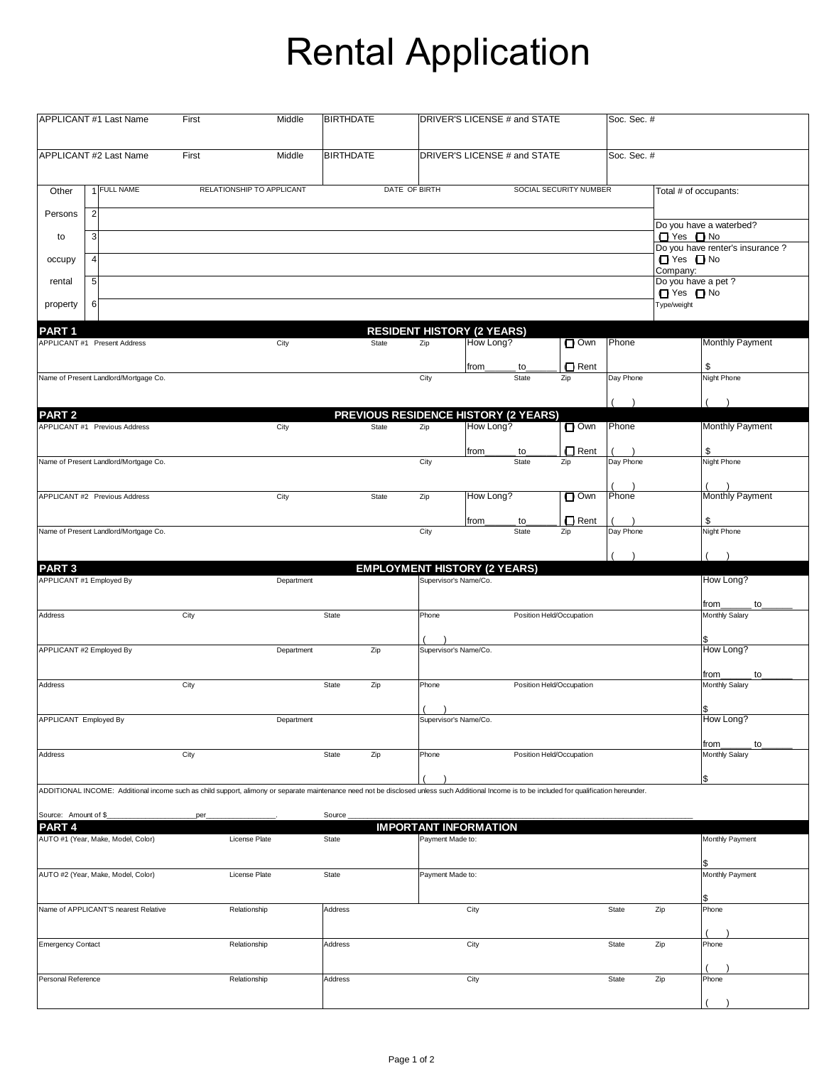## Rental Application

|                                                                                                                                                                  | APPLICANT #1 Last Name                                                                                                                                                                         | First            | Middle                       | <b>BIRTHDATE</b> |                                                  | DRIVER'S LICENSE # and STATE |                          |                        | Soc. Sec. #   |                                             |                                 |  |
|------------------------------------------------------------------------------------------------------------------------------------------------------------------|------------------------------------------------------------------------------------------------------------------------------------------------------------------------------------------------|------------------|------------------------------|------------------|--------------------------------------------------|------------------------------|--------------------------|------------------------|---------------|---------------------------------------------|---------------------------------|--|
| APPLICANT #2 Last Name<br>Middle<br>First                                                                                                                        |                                                                                                                                                                                                | <b>BIRTHDATE</b> | DRIVER'S LICENSE # and STATE |                  |                                                  |                              | Soc. Sec. #              |                        |               |                                             |                                 |  |
| Other                                                                                                                                                            | 1 FULL NAME                                                                                                                                                                                    |                  | RELATIONSHIP TO APPLICANT    |                  | DATE OF BIRTH                                    |                              |                          | SOCIAL SECURITY NUMBER |               |                                             | Total # of occupants:           |  |
| Persons                                                                                                                                                          | $\overline{\mathbf{c}}$                                                                                                                                                                        |                  |                              |                  |                                                  |                              |                          |                        |               |                                             | Do you have a waterbed?         |  |
| to                                                                                                                                                               | 3                                                                                                                                                                                              |                  |                              |                  |                                                  |                              |                          |                        |               | $\Box$ Yes $\Box$ No                        | Do you have renter's insurance? |  |
| occupy                                                                                                                                                           | 4                                                                                                                                                                                              |                  |                              |                  |                                                  |                              |                          |                        |               | □ Yes □ No<br>Company:                      |                                 |  |
| rental                                                                                                                                                           | 5                                                                                                                                                                                              |                  |                              |                  |                                                  |                              |                          |                        |               | Do you have a pet ?<br>$\Box$ Yes $\Box$ No |                                 |  |
| property                                                                                                                                                         | 6                                                                                                                                                                                              |                  |                              |                  |                                                  |                              |                          |                        |               | Type/weight                                 |                                 |  |
| <b>RESIDENT HISTORY (2 YEARS)</b><br>PART <sub>1</sub><br>Monthly Payment<br>How Long?<br>$\square$ Own<br>Phone<br>APPLICANT #1 Present Address<br>State<br>Zip |                                                                                                                                                                                                |                  |                              |                  |                                                  |                              |                          |                        |               |                                             |                                 |  |
|                                                                                                                                                                  |                                                                                                                                                                                                |                  | City                         |                  |                                                  |                              |                          |                        |               |                                             |                                 |  |
|                                                                                                                                                                  | Name of Present Landlord/Mortgage Co.                                                                                                                                                          |                  |                              |                  | City                                             | from                         | to<br>State              | □ Rent<br>Zip          | Day Phone     |                                             | \$<br><b>Night Phone</b>        |  |
|                                                                                                                                                                  |                                                                                                                                                                                                |                  |                              |                  |                                                  |                              |                          |                        | $\rightarrow$ |                                             | $\rightarrow$                   |  |
| PART <sub>2</sub>                                                                                                                                                |                                                                                                                                                                                                |                  |                              |                  | PREVIOUS RESIDENCE HISTORY (2 YEARS)             |                              |                          |                        |               |                                             |                                 |  |
|                                                                                                                                                                  | APPLICANT #1 Previous Address                                                                                                                                                                  |                  | City                         | State            | Zip                                              | How Long?                    |                          | $\Box$ Own             | Phone         |                                             | <b>Monthly Payment</b>          |  |
|                                                                                                                                                                  | Name of Present Landlord/Mortgage Co.                                                                                                                                                          |                  |                              |                  | City                                             | from                         | to<br>State              | $\Box$ Rent<br>Zip     | Day Phone     |                                             | \$<br>Night Phone               |  |
|                                                                                                                                                                  |                                                                                                                                                                                                |                  |                              |                  |                                                  |                              |                          |                        |               |                                             |                                 |  |
|                                                                                                                                                                  | APPLICANT #2 Previous Address                                                                                                                                                                  |                  | City                         | State            | Zip                                              | How Long?                    |                          | $\Box$ Own             | Phone         |                                             | Monthly Payment                 |  |
|                                                                                                                                                                  |                                                                                                                                                                                                |                  |                              |                  |                                                  | from                         | to                       | $\Box$ Rent            |               |                                             | \$                              |  |
|                                                                                                                                                                  | Name of Present Landlord/Mortgage Co.                                                                                                                                                          |                  |                              |                  | City                                             |                              | State                    | Zip                    | Day Phone     |                                             | <b>Night Phone</b>              |  |
| PART <sub>3</sub>                                                                                                                                                |                                                                                                                                                                                                |                  |                              |                  | <b>EMPLOYMENT HISTORY (2 YEARS)</b>              |                              |                          |                        |               |                                             | $\rightarrow$                   |  |
|                                                                                                                                                                  | APPLICANT #1 Employed By                                                                                                                                                                       |                  | Department                   |                  |                                                  | Supervisor's Name/Co.        |                          |                        |               |                                             | How Long?                       |  |
|                                                                                                                                                                  |                                                                                                                                                                                                |                  |                              |                  |                                                  |                              |                          |                        |               |                                             | from<br>to                      |  |
| Address                                                                                                                                                          |                                                                                                                                                                                                | City             |                              | State            | Phone                                            |                              | Position Held/Occupation |                        |               |                                             | Monthly Salary                  |  |
|                                                                                                                                                                  | APPLICANT #2 Employed By                                                                                                                                                                       |                  | Department                   | Zip              |                                                  | Supervisor's Name/Co.        |                          |                        |               |                                             | How Long?                       |  |
|                                                                                                                                                                  |                                                                                                                                                                                                |                  |                              |                  |                                                  |                              |                          |                        |               |                                             | from_<br>to                     |  |
| Address                                                                                                                                                          |                                                                                                                                                                                                | City             |                              | State<br>Zip     | Phone                                            |                              | Position Held/Occupation |                        |               |                                             | Monthly Salary                  |  |
| APPLICANT Employed By                                                                                                                                            |                                                                                                                                                                                                |                  | Department                   |                  | $\lambda$                                        | Supervisor's Name/Co.        |                          |                        |               |                                             | \$<br>How Long?                 |  |
|                                                                                                                                                                  |                                                                                                                                                                                                |                  |                              |                  |                                                  |                              |                          |                        |               |                                             |                                 |  |
| Address                                                                                                                                                          |                                                                                                                                                                                                | City             |                              | State<br>Zip     | Phone                                            |                              | Position Held/Occupation |                        |               |                                             | from_<br>to<br>Monthly Salary   |  |
|                                                                                                                                                                  |                                                                                                                                                                                                |                  |                              |                  |                                                  |                              |                          |                        |               |                                             | \$                              |  |
|                                                                                                                                                                  | ADDITIONAL INCOME: Additional income such as child support, alimony or separate maintenance need not be disclosed unless such Additional Income is to be included for qualification hereunder. |                  |                              |                  |                                                  |                              |                          |                        |               |                                             |                                 |  |
| Source: Amount of \$_                                                                                                                                            |                                                                                                                                                                                                | per              |                              | Source           |                                                  |                              |                          |                        |               |                                             |                                 |  |
| PART <sub>4</sub>                                                                                                                                                | AUTO #1 (Year, Make, Model, Color)                                                                                                                                                             |                  | License Plate                | State            | <b>IMPORTANT INFORMATION</b><br>Payment Made to: |                              |                          |                        |               |                                             | Monthly Payment                 |  |
|                                                                                                                                                                  |                                                                                                                                                                                                |                  |                              |                  |                                                  |                              |                          |                        |               |                                             |                                 |  |
|                                                                                                                                                                  | AUTO #2 (Year, Make, Model, Color)                                                                                                                                                             |                  | License Plate                | State            | Payment Made to:                                 |                              |                          |                        |               |                                             | Monthly Payment                 |  |
|                                                                                                                                                                  |                                                                                                                                                                                                |                  |                              |                  |                                                  |                              |                          |                        |               |                                             |                                 |  |
|                                                                                                                                                                  | Name of APPLICANT'S nearest Relative                                                                                                                                                           |                  | Relationship                 | Address          |                                                  | City                         |                          |                        | State         | Zip                                         | Phone                           |  |
| <b>Emergency Contact</b>                                                                                                                                         |                                                                                                                                                                                                |                  | Relationship                 | Address          |                                                  | City                         |                          |                        | State         | Zip                                         | Phone                           |  |
|                                                                                                                                                                  |                                                                                                                                                                                                |                  |                              |                  |                                                  |                              |                          |                        |               |                                             |                                 |  |
| Personal Reference                                                                                                                                               |                                                                                                                                                                                                |                  | Relationship                 | Address          |                                                  | City                         |                          |                        | State         | Zip                                         | Phone                           |  |
|                                                                                                                                                                  |                                                                                                                                                                                                |                  |                              |                  |                                                  |                              |                          |                        |               |                                             |                                 |  |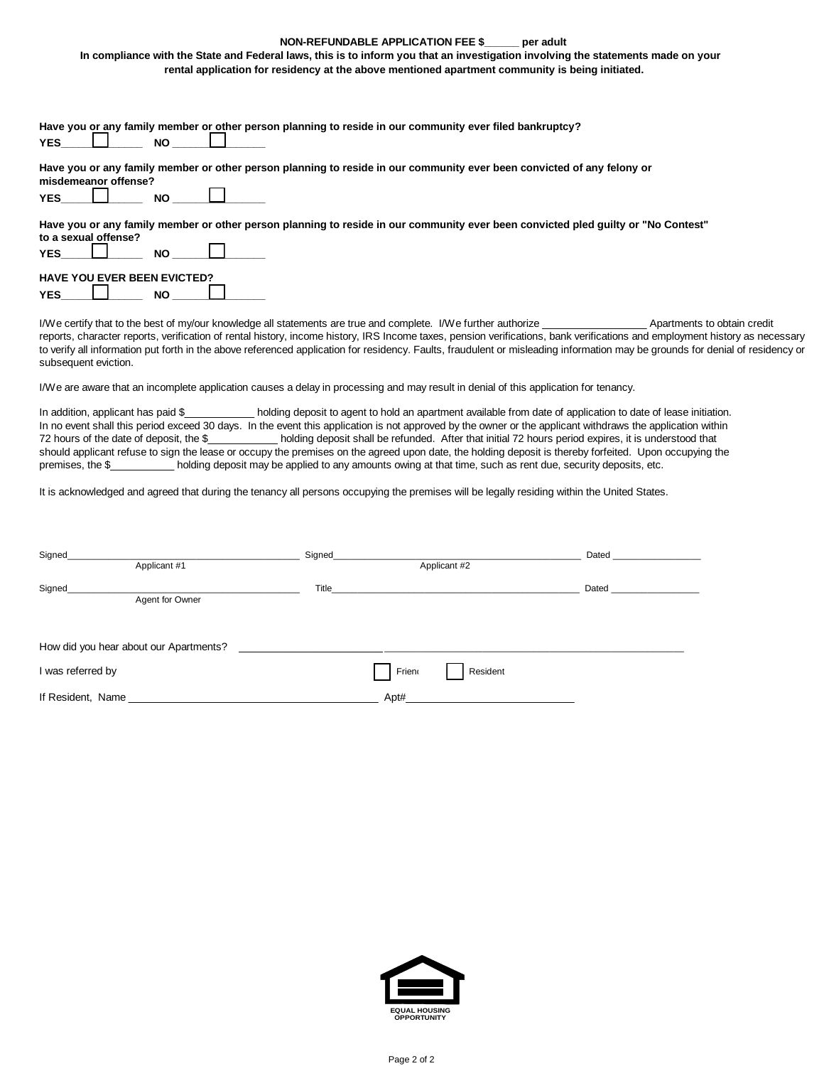## **NON-REFUNDABLE APPLICATION FEE \$\_\_\_\_\_\_ per adult**

 **In compliance with the State and Federal laws, this is to inform you that an investigation involving the statements made on your rental application for residency at the above mentioned apartment community is being initiated.**

| Have you or any family member or other person planning to reside in our community ever filed bankruptcy?<br><b>YES</b><br><b>NO</b>                                                  |
|--------------------------------------------------------------------------------------------------------------------------------------------------------------------------------------|
| Have you or any family member or other person planning to reside in our community ever been convicted of any felony or<br>misdemeanor offense?<br><b>YES</b><br><b>NO</b>            |
| Have you or any family member or other person planning to reside in our community ever been convicted pled quilty or "No Contest"<br>to a sexual offense?<br><b>YES</b><br><b>NO</b> |
| <b>HAVE YOU EVER BEEN EVICTED?</b>                                                                                                                                                   |

I/We certify that to the best of my/our knowledge all statements are true and complete. I/We further authorize \_\_\_\_\_\_\_\_\_\_\_\_\_\_\_\_\_\_ Apartments to obtain credit reports, character reports, verification of rental history, income history, IRS Income taxes, pension verifications, bank verifications and employment history as necessary to verify all information put forth in the above referenced application for residency. Faults, fraudulent or misleading information may be grounds for denial of residency or subsequent eviction.

I/We are aware that an incomplete application causes a delay in processing and may result in denial of this application for tenancy.

**YES\_\_\_\_\_\_\_\_\_\_\_\_\_\_ NO \_\_\_\_\_\_\_\_\_\_\_\_\_\_\_\_**

In addition, applicant has paid \$\_\_\_\_\_\_\_\_\_\_\_\_\_ holding deposit to agent to hold an apartment available from date of application to date of lease initiation. In no event shall this period exceed 30 days. In the event this application is not approved by the owner or the applicant withdraws the application within 72 hours of the date of deposit, the \$\_\_\_\_\_\_\_\_\_\_\_\_ holding deposit shall be refunded. After that initial 72 hours period expires, it is understood that should applicant refuse to sign the lease or occupy the premises on the agreed upon date, the holding deposit is thereby forfeited. Upon occupying the premises, the \$\_\_\_\_\_\_\_\_\_\_\_ holding deposit may be applied to any amounts owing at that time, such as rent due, security deposits, etc.

It is acknowledged and agreed that during the tenancy all persons occupying the premises will be legally residing within the United States.

| Signed            | Signed_                                |       | Dated    |              |       |
|-------------------|----------------------------------------|-------|----------|--------------|-------|
| Applicant #1      |                                        |       |          | Applicant #2 |       |
| Signed            | Agent for Owner                        | Title |          |              | Dated |
|                   | How did you hear about our Apartments? |       |          |              |       |
| I was referred by |                                        | Frien | Resident |              |       |
| If Resident, Name |                                        | Apt#  |          |              |       |